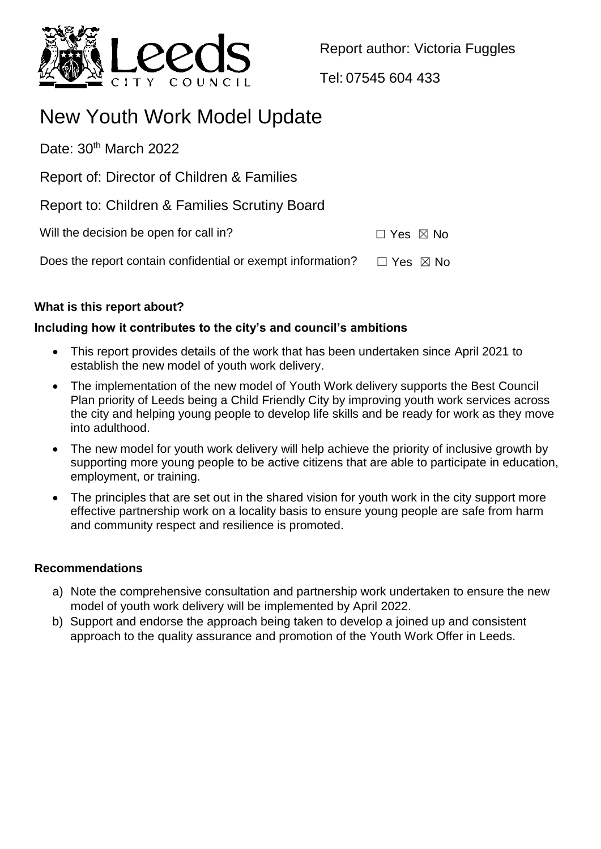

Report author: Victoria Fuggles

Tel: 07545 604 433

# New Youth Work Model Update

Date:  $30<sup>th</sup>$  March 2022

Report of: Director of Children & Families

Report to: Children & Families Scrutiny Board

Will the decision be open for call in?  $\square$  Yes  $\boxtimes$  No

Does the report contain confidential or exempt information?  $\Box$  Yes  $\boxtimes$  No

# **What is this report about?**

### **Including how it contributes to the city's and council's ambitions**

- This report provides details of the work that has been undertaken since April 2021 to establish the new model of youth work delivery.
- The implementation of the new model of Youth Work delivery supports the Best Council Plan priority of Leeds being a Child Friendly City by improving youth work services across the city and helping young people to develop life skills and be ready for work as they move into adulthood.
- The new model for youth work delivery will help achieve the priority of inclusive growth by supporting more young people to be active citizens that are able to participate in education, employment, or training.
- The principles that are set out in the shared vision for youth work in the city support more effective partnership work on a locality basis to ensure young people are safe from harm and community respect and resilience is promoted.

#### **Recommendations**

- a) Note the comprehensive consultation and partnership work undertaken to ensure the new model of youth work delivery will be implemented by April 2022.
- b) Support and endorse the approach being taken to develop a joined up and consistent approach to the quality assurance and promotion of the Youth Work Offer in Leeds.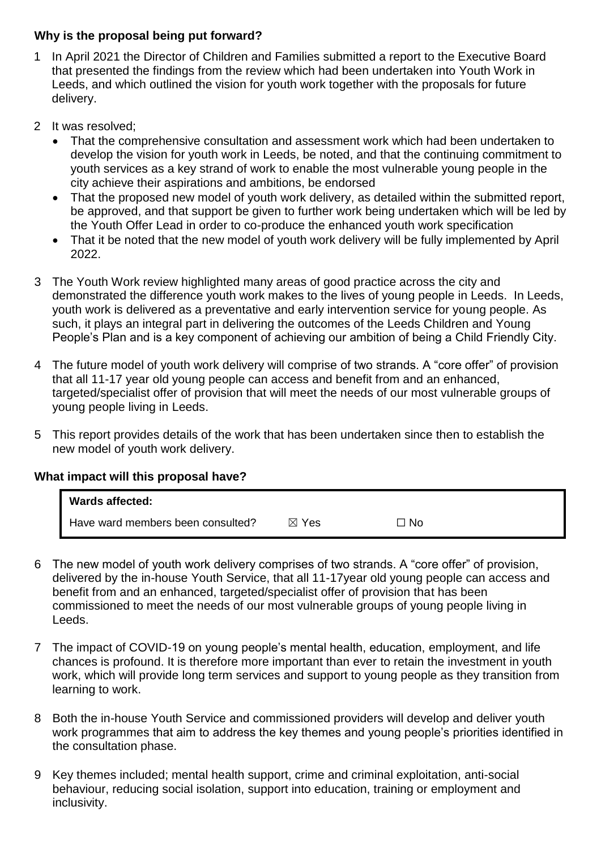#### **Why is the proposal being put forward?**

- 1 In April 2021 the Director of Children and Families submitted a report to the Executive Board that presented the findings from the review which had been undertaken into Youth Work in Leeds, and which outlined the vision for youth work together with the proposals for future delivery.
- 2 It was resolved;
	- That the comprehensive consultation and assessment work which had been undertaken to develop the vision for youth work in Leeds, be noted, and that the continuing commitment to youth services as a key strand of work to enable the most vulnerable young people in the city achieve their aspirations and ambitions, be endorsed
	- That the proposed new model of youth work delivery, as detailed within the submitted report, be approved, and that support be given to further work being undertaken which will be led by the Youth Offer Lead in order to co-produce the enhanced youth work specification
	- That it be noted that the new model of youth work delivery will be fully implemented by April 2022.
- 3 The Youth Work review highlighted many areas of good practice across the city and demonstrated the difference youth work makes to the lives of young people in Leeds. In Leeds, youth work is delivered as a preventative and early intervention service for young people. As such, it plays an integral part in delivering the outcomes of the Leeds Children and Young People's Plan and is a key component of achieving our ambition of being a Child Friendly City.
- 4 The future model of youth work delivery will comprise of two strands. A "core offer" of provision that all 11-17 year old young people can access and benefit from and an enhanced, targeted/specialist offer of provision that will meet the needs of our most vulnerable groups of young people living in Leeds.
- 5 This report provides details of the work that has been undertaken since then to establish the new model of youth work delivery.

# **What impact will this proposal have?**

| <b>Wards affected:</b>            |                 |                |
|-----------------------------------|-----------------|----------------|
| Have ward members been consulted? | $\boxtimes$ Yes | $\sqsupset$ No |

- 6 The new model of youth work delivery comprises of two strands. A "core offer" of provision, delivered by the in-house Youth Service, that all 11-17year old young people can access and benefit from and an enhanced, targeted/specialist offer of provision that has been commissioned to meet the needs of our most vulnerable groups of young people living in Leeds.
- 7 The impact of COVID-19 on young people's mental health, education, employment, and life chances is profound. It is therefore more important than ever to retain the investment in youth work, which will provide long term services and support to young people as they transition from learning to work.
- 8 Both the in-house Youth Service and commissioned providers will develop and deliver youth work programmes that aim to address the key themes and young people's priorities identified in the consultation phase.
- 9 Key themes included; mental health support, crime and criminal exploitation, anti-social behaviour, reducing social isolation, support into education, training or employment and inclusivity.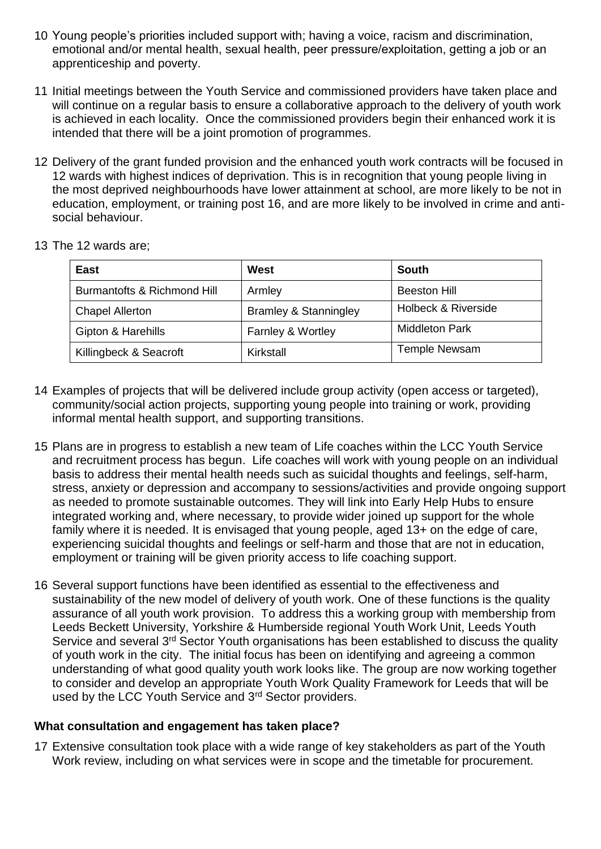- 10 Young people's priorities included support with; having a voice, racism and discrimination, emotional and/or mental health, sexual health, peer pressure/exploitation, getting a job or an apprenticeship and poverty.
- 11 Initial meetings between the Youth Service and commissioned providers have taken place and will continue on a regular basis to ensure a collaborative approach to the delivery of youth work is achieved in each locality. Once the commissioned providers begin their enhanced work it is intended that there will be a joint promotion of programmes.
- 12 Delivery of the grant funded provision and the enhanced youth work contracts will be focused in 12 wards with highest indices of deprivation. This is in recognition that young people living in the most deprived neighbourhoods have lower attainment at school, are more likely to be not in education, employment, or training post 16, and are more likely to be involved in crime and antisocial behaviour.
- 13 The 12 wards are;

| East                        | West                             | South                 |
|-----------------------------|----------------------------------|-----------------------|
| Burmantofts & Richmond Hill | Armley                           | <b>Beeston Hill</b>   |
| <b>Chapel Allerton</b>      | <b>Bramley &amp; Stanningley</b> | Holbeck & Riverside   |
| Gipton & Harehills          | Farnley & Wortley                | <b>Middleton Park</b> |
| Killingbeck & Seacroft      | Kirkstall                        | <b>Temple Newsam</b>  |

- 14 Examples of projects that will be delivered include group activity (open access or targeted), community/social action projects, supporting young people into training or work, providing informal mental health support, and supporting transitions.
- 15 Plans are in progress to establish a new team of Life coaches within the LCC Youth Service and recruitment process has begun. Life coaches will work with young people on an individual basis to address their mental health needs such as suicidal thoughts and feelings, self-harm, stress, anxiety or depression and accompany to sessions/activities and provide ongoing support as needed to promote sustainable outcomes. They will link into Early Help Hubs to ensure integrated working and, where necessary, to provide wider joined up support for the whole family where it is needed. It is envisaged that young people, aged 13+ on the edge of care, experiencing suicidal thoughts and feelings or self-harm and those that are not in education, employment or training will be given priority access to life coaching support.
- 16 Several support functions have been identified as essential to the effectiveness and sustainability of the new model of delivery of youth work. One of these functions is the quality assurance of all youth work provision. To address this a working group with membership from Leeds Beckett University, Yorkshire & Humberside regional Youth Work Unit, Leeds Youth Service and several 3<sup>rd</sup> Sector Youth organisations has been established to discuss the quality of youth work in the city. The initial focus has been on identifying and agreeing a common understanding of what good quality youth work looks like. The group are now working together to consider and develop an appropriate Youth Work Quality Framework for Leeds that will be used by the LCC Youth Service and 3<sup>rd</sup> Sector providers.

#### **What consultation and engagement has taken place?**

17 Extensive consultation took place with a wide range of key stakeholders as part of the Youth Work review, including on what services were in scope and the timetable for procurement.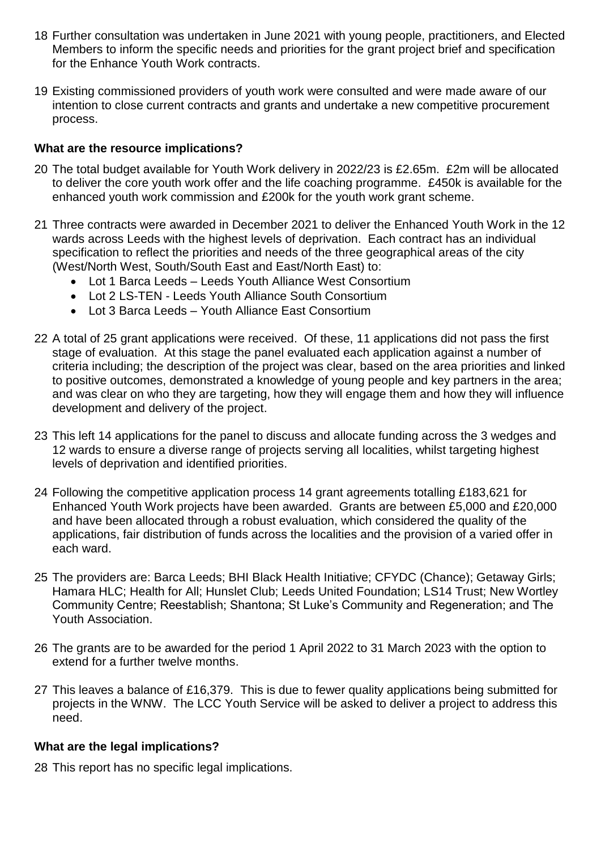- 18 Further consultation was undertaken in June 2021 with young people, practitioners, and Elected Members to inform the specific needs and priorities for the grant project brief and specification for the Enhance Youth Work contracts.
- 19 Existing commissioned providers of youth work were consulted and were made aware of our intention to close current contracts and grants and undertake a new competitive procurement process.

#### **What are the resource implications?**

- 20 The total budget available for Youth Work delivery in 2022/23 is £2.65m. £2m will be allocated to deliver the core youth work offer and the life coaching programme. £450k is available for the enhanced youth work commission and £200k for the youth work grant scheme.
- 21 Three contracts were awarded in December 2021 to deliver the Enhanced Youth Work in the 12 wards across Leeds with the highest levels of deprivation. Each contract has an individual specification to reflect the priorities and needs of the three geographical areas of the city (West/North West, South/South East and East/North East) to:
	- Lot 1 Barca Leeds Leeds Youth Alliance West Consortium
	- Lot 2 LS-TEN Leeds Youth Alliance South Consortium
	- Lot 3 Barca Leeds Youth Alliance East Consortium
- 22 A total of 25 grant applications were received. Of these, 11 applications did not pass the first stage of evaluation. At this stage the panel evaluated each application against a number of criteria including; the description of the project was clear, based on the area priorities and linked to positive outcomes, demonstrated a knowledge of young people and key partners in the area; and was clear on who they are targeting, how they will engage them and how they will influence development and delivery of the project.
- 23 This left 14 applications for the panel to discuss and allocate funding across the 3 wedges and 12 wards to ensure a diverse range of projects serving all localities, whilst targeting highest levels of deprivation and identified priorities.
- 24 Following the competitive application process 14 grant agreements totalling £183,621 for Enhanced Youth Work projects have been awarded. Grants are between £5,000 and £20,000 and have been allocated through a robust evaluation, which considered the quality of the applications, fair distribution of funds across the localities and the provision of a varied offer in each ward.
- 25 The providers are: Barca Leeds; BHI Black Health Initiative; CFYDC (Chance); Getaway Girls; Hamara HLC; Health for All; Hunslet Club; Leeds United Foundation; LS14 Trust; New Wortley Community Centre; Reestablish; Shantona; St Luke's Community and Regeneration; and The Youth Association.
- 26 The grants are to be awarded for the period 1 April 2022 to 31 March 2023 with the option to extend for a further twelve months.
- 27 This leaves a balance of £16,379. This is due to fewer quality applications being submitted for projects in the WNW. The LCC Youth Service will be asked to deliver a project to address this need.

#### **What are the legal implications?**

28 This report has no specific legal implications.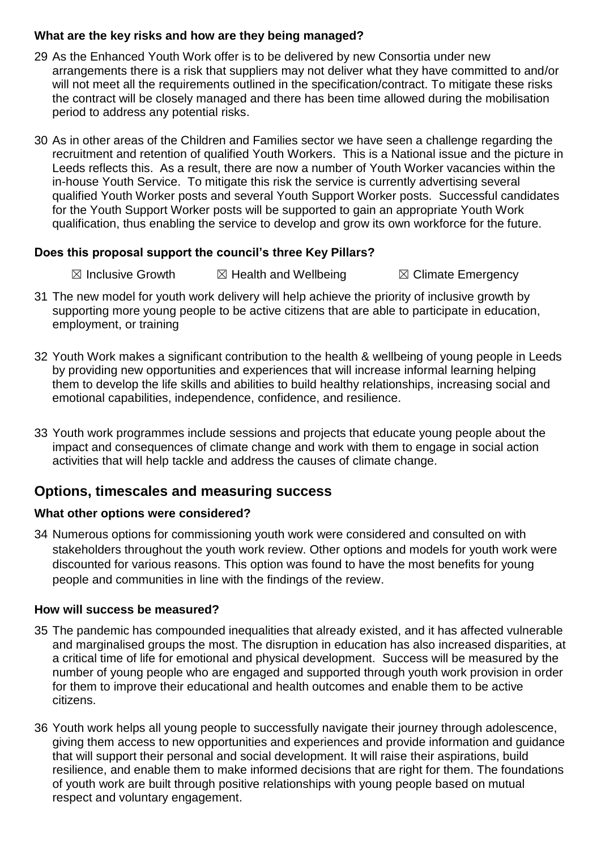#### **What are the key risks and how are they being managed?**

- 29 As the Enhanced Youth Work offer is to be delivered by new Consortia under new arrangements there is a risk that suppliers may not deliver what they have committed to and/or will not meet all the requirements outlined in the specification/contract. To mitigate these risks the contract will be closely managed and there has been time allowed during the mobilisation period to address any potential risks.
- 30 As in other areas of the Children and Families sector we have seen a challenge regarding the recruitment and retention of qualified Youth Workers. This is a National issue and the picture in Leeds reflects this. As a result, there are now a number of Youth Worker vacancies within the in-house Youth Service. To mitigate this risk the service is currently advertising several qualified Youth Worker posts and several Youth Support Worker posts. Successful candidates for the Youth Support Worker posts will be supported to gain an appropriate Youth Work qualification, thus enabling the service to develop and grow its own workforce for the future.

#### **Does this proposal support the council's three Key Pillars?**

 $\boxtimes$  Inclusive Growth  $\boxtimes$  Health and Wellbeing  $\boxtimes$  Climate Emergency

- 31 The new model for youth work delivery will help achieve the priority of inclusive growth by supporting more young people to be active citizens that are able to participate in education, employment, or training
- 32 Youth Work makes a significant contribution to the health & wellbeing of young people in Leeds by providing new opportunities and experiences that will increase informal learning helping them to develop the life skills and abilities to build healthy relationships, increasing social and emotional capabilities, independence, confidence, and resilience.
- 33 Youth work programmes include sessions and projects that educate young people about the impact and consequences of climate change and work with them to engage in social action activities that will help tackle and address the causes of climate change.

# **Options, timescales and measuring success**

#### **What other options were considered?**

34 Numerous options for commissioning youth work were considered and consulted on with stakeholders throughout the youth work review. Other options and models for youth work were discounted for various reasons. This option was found to have the most benefits for young people and communities in line with the findings of the review.

#### **How will success be measured?**

- 35 The pandemic has compounded inequalities that already existed, and it has affected vulnerable and marginalised groups the most. The disruption in education has also increased disparities, at a critical time of life for emotional and physical development. Success will be measured by the number of young people who are engaged and supported through youth work provision in order for them to improve their educational and health outcomes and enable them to be active citizens.
- 36 Youth work helps all young people to successfully navigate their journey through adolescence, giving them access to new opportunities and experiences and provide information and guidance that will support their personal and social development. It will raise their aspirations, build resilience, and enable them to make informed decisions that are right for them. The foundations of youth work are built through positive relationships with young people based on mutual respect and voluntary engagement.